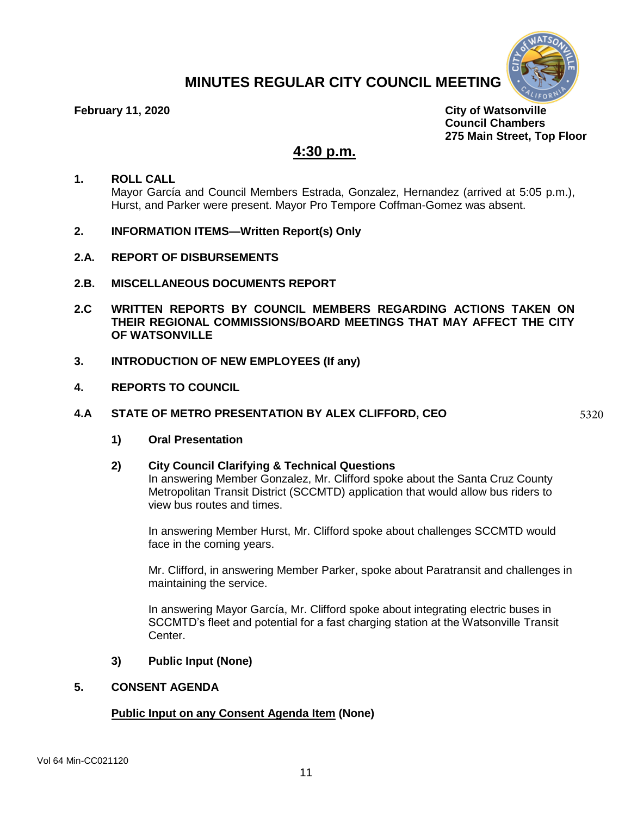

# **MINUTES REGULAR CITY COUNCIL MEETING**

**February 11, 2020 City of Watsonville Council Chambers 275 Main Street, Top Floor** 

# **4:30 p.m.**

# **1. ROLL CALL** Mayor García and Council Members Estrada, Gonzalez, Hernandez (arrived at 5:05 p.m.), Hurst, and Parker were present. Mayor Pro Tempore Coffman-Gomez was absent.

- **2. INFORMATION ITEMS—Written Report(s) Only**
- **2.A. REPORT OF DISBURSEMENTS**
- **2.B. MISCELLANEOUS DOCUMENTS REPORT**
- **2.C WRITTEN REPORTS BY COUNCIL MEMBERS REGARDING ACTIONS TAKEN ON THEIR REGIONAL COMMISSIONS/BOARD MEETINGS THAT MAY AFFECT THE CITY OF WATSONVILLE**
- **3. INTRODUCTION OF NEW EMPLOYEES (If any)**
- **4. REPORTS TO COUNCIL**

# **4.A STATE OF METRO PRESENTATION BY ALEX CLIFFORD, CEO**

5320

**1) Oral Presentation**

# **2) City Council Clarifying & Technical Questions**

In answering Member Gonzalez, Mr. Clifford spoke about the Santa Cruz County Metropolitan Transit District (SCCMTD) application that would allow bus riders to view bus routes and times.

In answering Member Hurst, Mr. Clifford spoke about challenges SCCMTD would face in the coming years.

Mr. Clifford, in answering Member Parker, spoke about Paratransit and challenges in maintaining the service.

In answering Mayor García, Mr. Clifford spoke about integrating electric buses in SCCMTD's fleet and potential for a fast charging station at the Watsonville Transit Center.

# **3) Public Input (None)**

# **5. CONSENT AGENDA**

# **Public Input on any Consent Agenda Item (None)**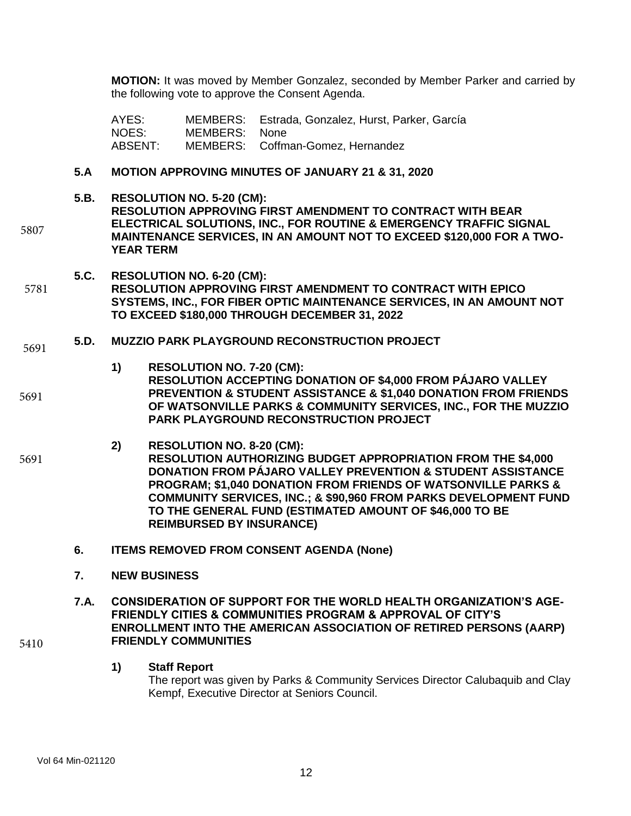**MOTION:** It was moved by Member Gonzalez, seconded by Member Parker and carried by the following vote to approve the Consent Agenda.

AYES: MEMBERS: Estrada, Gonzalez, Hurst, Parker, García NOES: MEMBERS: None ABSENT: MEMBERS: Coffman-Gomez, Hernandez

# **5.A MOTION APPROVING MINUTES OF JANUARY 21 & 31, 2020**

# **5.B. RESOLUTION NO. 5-20 (CM):**

5807

**RESOLUTION APPROVING FIRST AMENDMENT TO CONTRACT WITH BEAR ELECTRICAL SOLUTIONS, INC., FOR ROUTINE & EMERGENCY TRAFFIC SIGNAL MAINTENANCE SERVICES, IN AN AMOUNT NOT TO EXCEED \$120,000 FOR A TWO-YEAR TERM**

- **5.C. RESOLUTION NO. 6-20 (CM):**
- **RESOLUTION APPROVING FIRST AMENDMENT TO CONTRACT WITH EPICO SYSTEMS, INC., FOR FIBER OPTIC MAINTENANCE SERVICES, IN AN AMOUNT NOT TO EXCEED \$180,000 THROUGH DECEMBER 31, 2022**  5781
- **5.D. MUZZIO PARK PLAYGROUND RECONSTRUCTION PROJECT**  5691
- **1) RESOLUTION NO. 7-20 (CM): RESOLUTION ACCEPTING DONATION OF \$4,000 FROM PÁJARO VALLEY PREVENTION & STUDENT ASSISTANCE & \$1,040 DONATION FROM FRIENDS OF WATSONVILLE PARKS & COMMUNITY SERVICES, INC., FOR THE MUZZIO PARK PLAYGROUND RECONSTRUCTION PROJECT** 5691
- **2) RESOLUTION NO. 8-20 (CM): RESOLUTION AUTHORIZING BUDGET APPROPRIATION FROM THE \$4,000 DONATION FROM PÁJARO VALLEY PREVENTION & STUDENT ASSISTANCE PROGRAM; \$1,040 DONATION FROM FRIENDS OF WATSONVILLE PARKS & COMMUNITY SERVICES, INC.; & \$90,960 FROM PARKS DEVELOPMENT FUND TO THE GENERAL FUND (ESTIMATED AMOUNT OF \$46,000 TO BE REIMBURSED BY INSURANCE)** 5691
	- **6. ITEMS REMOVED FROM CONSENT AGENDA (None)**
	- **7. NEW BUSINESS**
	- **7.A. CONSIDERATION OF SUPPORT FOR THE WORLD HEALTH ORGANIZATION'S AGE-FRIENDLY CITIES & COMMUNITIES PROGRAM & APPROVAL OF CITY'S ENROLLMENT INTO THE AMERICAN ASSOCIATION OF RETIRED PERSONS (AARP) FRIENDLY COMMUNITIES**
		- **1) Staff Report**
			- The report was given by Parks & Community Services Director Calubaquib and Clay Kempf, Executive Director at Seniors Council.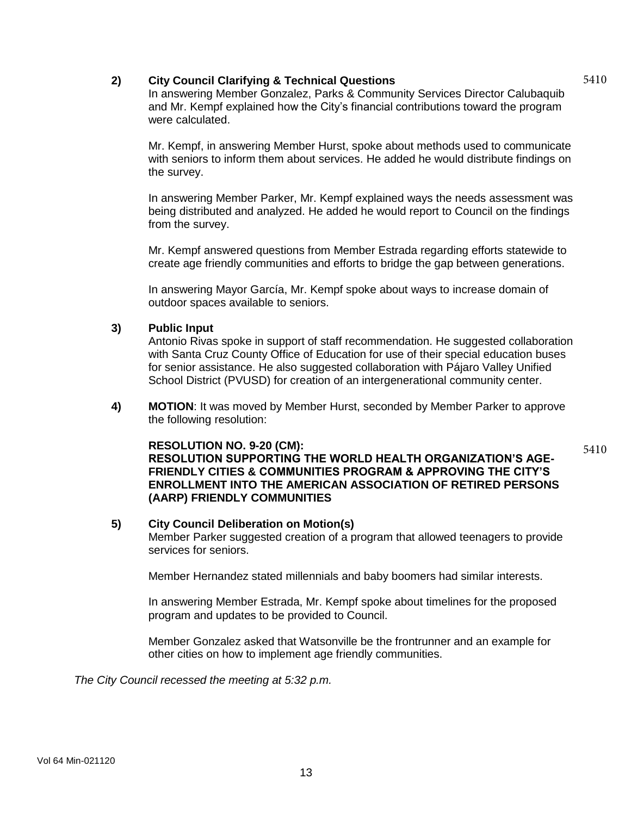# **2) City Council Clarifying & Technical Questions**

5410

In answering Member Gonzalez, Parks & Community Services Director Calubaquib and Mr. Kempf explained how the City's financial contributions toward the program were calculated.

Mr. Kempf, in answering Member Hurst, spoke about methods used to communicate with seniors to inform them about services. He added he would distribute findings on the survey.

In answering Member Parker, Mr. Kempf explained ways the needs assessment was being distributed and analyzed. He added he would report to Council on the findings from the survey.

Mr. Kempf answered questions from Member Estrada regarding efforts statewide to create age friendly communities and efforts to bridge the gap between generations.

In answering Mayor García, Mr. Kempf spoke about ways to increase domain of outdoor spaces available to seniors.

# **3) Public Input**

Antonio Rivas spoke in support of staff recommendation. He suggested collaboration with Santa Cruz County Office of Education for use of their special education buses for senior assistance. He also suggested collaboration with Pájaro Valley Unified School District (PVUSD) for creation of an intergenerational community center.

**4) MOTION**: It was moved by Member Hurst, seconded by Member Parker to approve the following resolution:

# **RESOLUTION NO. 9-20 (CM):**

**RESOLUTION SUPPORTING THE WORLD HEALTH ORGANIZATION'S AGE-FRIENDLY CITIES & COMMUNITIES PROGRAM & APPROVING THE CITY'S ENROLLMENT INTO THE AMERICAN ASSOCIATION OF RETIRED PERSONS (AARP) FRIENDLY COMMUNITIES**

# **5) City Council Deliberation on Motion(s)**

Member Parker suggested creation of a program that allowed teenagers to provide services for seniors.

Member Hernandez stated millennials and baby boomers had similar interests.

In answering Member Estrada, Mr. Kempf spoke about timelines for the proposed program and updates to be provided to Council.

Member Gonzalez asked that Watsonville be the frontrunner and an example for other cities on how to implement age friendly communities.

*The City Council recessed the meeting at 5:32 p.m.*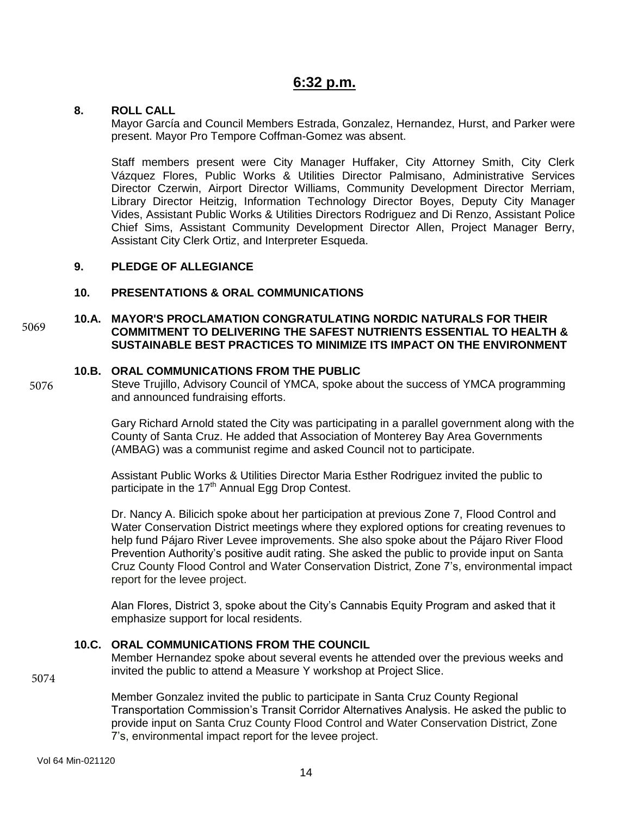# **6:32 p.m.**

# **8. ROLL CALL**

Mayor García and Council Members Estrada, Gonzalez, Hernandez, Hurst, and Parker were present. Mayor Pro Tempore Coffman-Gomez was absent.

Staff members present were City Manager Huffaker, City Attorney Smith, City Clerk Vázquez Flores, Public Works & Utilities Director Palmisano, Administrative Services Director Czerwin, Airport Director Williams, Community Development Director Merriam, Library Director Heitzig, Information Technology Director Boyes, Deputy City Manager Vides, Assistant Public Works & Utilities Directors Rodriguez and Di Renzo, Assistant Police Chief Sims, Assistant Community Development Director Allen, Project Manager Berry, Assistant City Clerk Ortiz, and Interpreter Esqueda.

# **9. PLEDGE OF ALLEGIANCE**

# **10. PRESENTATIONS & ORAL COMMUNICATIONS**

#### **10.A. MAYOR'S PROCLAMATION CONGRATULATING NORDIC NATURALS FOR THEIR COMMITMENT TO DELIVERING THE SAFEST NUTRIENTS ESSENTIAL TO HEALTH & SUSTAINABLE BEST PRACTICES TO MINIMIZE ITS IMPACT ON THE ENVIRONMENT**  5069

# **10.B. ORAL COMMUNICATIONS FROM THE PUBLIC**

5076

Steve Trujillo, Advisory Council of YMCA, spoke about the success of YMCA programming and announced fundraising efforts.

Gary Richard Arnold stated the City was participating in a parallel government along with the County of Santa Cruz. He added that Association of Monterey Bay Area Governments (AMBAG) was a communist regime and asked Council not to participate.

Assistant Public Works & Utilities Director Maria Esther Rodriguez invited the public to participate in the 17<sup>th</sup> Annual Egg Drop Contest.

Dr. Nancy A. Bilicich spoke about her participation at previous Zone 7, Flood Control and Water Conservation District meetings where they explored options for creating revenues to help fund Pájaro River Levee improvements. She also spoke about the Pájaro River Flood Prevention Authority's positive audit rating. She asked the public to provide input on Santa Cruz County Flood Control and Water Conservation District, Zone 7's, environmental impact report for the levee project.

Alan Flores, District 3, spoke about the City's Cannabis Equity Program and asked that it emphasize support for local residents.

# **10.C. ORAL COMMUNICATIONS FROM THE COUNCIL**

Member Hernandez spoke about several events he attended over the previous weeks and invited the public to attend a Measure Y workshop at Project Slice.

5074

Member Gonzalez invited the public to participate in Santa Cruz County Regional Transportation Commission's Transit Corridor Alternatives Analysis. He asked the public to provide input on Santa Cruz County Flood Control and Water Conservation District, Zone 7's, environmental impact report for the levee project.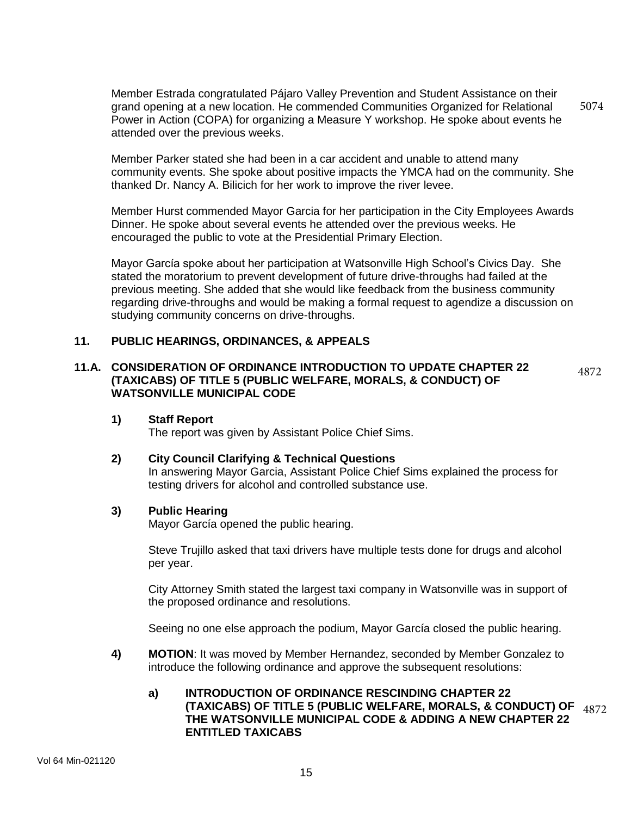Member Estrada congratulated Pájaro Valley Prevention and Student Assistance on their grand opening at a new location. He commended Communities Organized for Relational Power in Action (COPA) for organizing a Measure Y workshop. He spoke about events he attended over the previous weeks. 5074

Member Parker stated she had been in a car accident and unable to attend many community events. She spoke about positive impacts the YMCA had on the community. She thanked Dr. Nancy A. Bilicich for her work to improve the river levee.

Member Hurst commended Mayor Garcia for her participation in the City Employees Awards Dinner. He spoke about several events he attended over the previous weeks. He encouraged the public to vote at the Presidential Primary Election.

Mayor García spoke about her participation at Watsonville High School's Civics Day. She stated the moratorium to prevent development of future drive-throughs had failed at the previous meeting. She added that she would like feedback from the business community regarding drive-throughs and would be making a formal request to agendize a discussion on studying community concerns on drive-throughs.

# **11. PUBLIC HEARINGS, ORDINANCES, & APPEALS**

# **11.A. CONSIDERATION OF ORDINANCE INTRODUCTION TO UPDATE CHAPTER 22 (TAXICABS) OF TITLE 5 (PUBLIC WELFARE, MORALS, & CONDUCT) OF WATSONVILLE MUNICIPAL CODE**

# **1) Staff Report**

The report was given by Assistant Police Chief Sims.

# **2) City Council Clarifying & Technical Questions**

In answering Mayor Garcia, Assistant Police Chief Sims explained the process for testing drivers for alcohol and controlled substance use.

4872

### **3) Public Hearing**

Mayor García opened the public hearing.

Steve Trujillo asked that taxi drivers have multiple tests done for drugs and alcohol per year.

City Attorney Smith stated the largest taxi company in Watsonville was in support of the proposed ordinance and resolutions.

Seeing no one else approach the podium, Mayor García closed the public hearing.

**4) MOTION**: It was moved by Member Hernandez, seconded by Member Gonzalez to introduce the following ordinance and approve the subsequent resolutions:

# **a) INTRODUCTION OF ORDINANCE RESCINDING CHAPTER 22 (TAXICABS) OF TITLE 5 (PUBLIC WELFARE, MORALS, & CONDUCT) OF** 4872**THE WATSONVILLE MUNICIPAL CODE & ADDING A NEW CHAPTER 22 ENTITLED TAXICABS**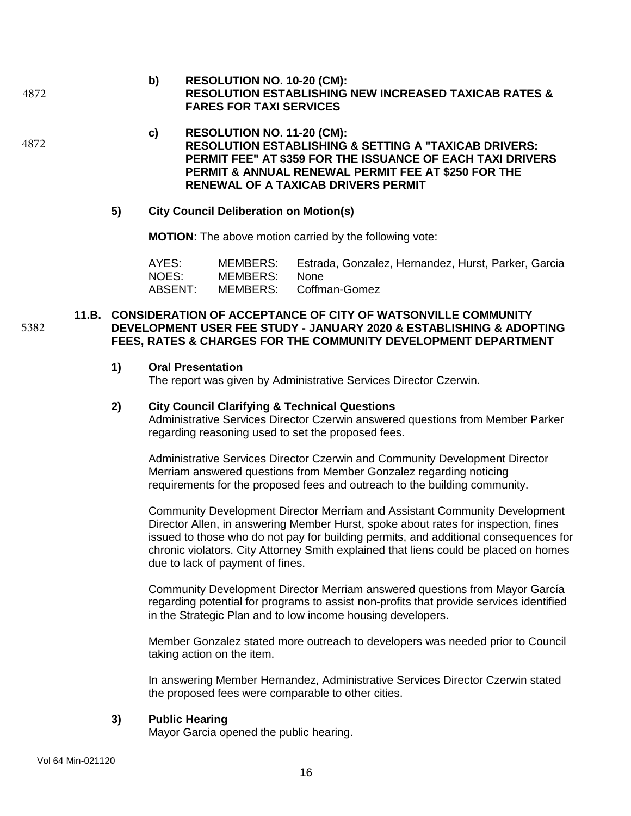**b) RESOLUTION NO. 10-20 (CM): RESOLUTION ESTABLISHING NEW INCREASED TAXICAB RATES & FARES FOR TAXI SERVICES** 4872

4872

5382

**c) RESOLUTION NO. 11-20 (CM): RESOLUTION ESTABLISHING & SETTING A "TAXICAB DRIVERS: PERMIT FEE" AT \$359 FOR THE ISSUANCE OF EACH TAXI DRIVERS PERMIT & ANNUAL RENEWAL PERMIT FEE AT \$250 FOR THE RENEWAL OF A TAXICAB DRIVERS PERMIT**

### **5) City Council Deliberation on Motion(s)**

**MOTION**: The above motion carried by the following vote:

AYES: MEMBERS: Estrada, Gonzalez, Hernandez, Hurst, Parker, Garcia NOES: MEMBERS: None ABSENT: MEMBERS: Coffman-Gomez

# **11.B. CONSIDERATION OF ACCEPTANCE OF CITY OF WATSONVILLE COMMUNITY DEVELOPMENT USER FEE STUDY - JANUARY 2020 & ESTABLISHING & ADOPTING FEES, RATES & CHARGES FOR THE COMMUNITY DEVELOPMENT DEPARTMENT**

### **1) Oral Presentation**

The report was given by Administrative Services Director Czerwin.

#### **2) City Council Clarifying & Technical Questions**

Administrative Services Director Czerwin answered questions from Member Parker regarding reasoning used to set the proposed fees.

Administrative Services Director Czerwin and Community Development Director Merriam answered questions from Member Gonzalez regarding noticing requirements for the proposed fees and outreach to the building community.

Community Development Director Merriam and Assistant Community Development Director Allen, in answering Member Hurst, spoke about rates for inspection, fines issued to those who do not pay for building permits, and additional consequences for chronic violators. City Attorney Smith explained that liens could be placed on homes due to lack of payment of fines.

Community Development Director Merriam answered questions from Mayor García regarding potential for programs to assist non-profits that provide services identified in the Strategic Plan and to low income housing developers.

Member Gonzalez stated more outreach to developers was needed prior to Council taking action on the item.

In answering Member Hernandez, Administrative Services Director Czerwin stated the proposed fees were comparable to other cities.

# **3) Public Hearing**

Mayor Garcia opened the public hearing.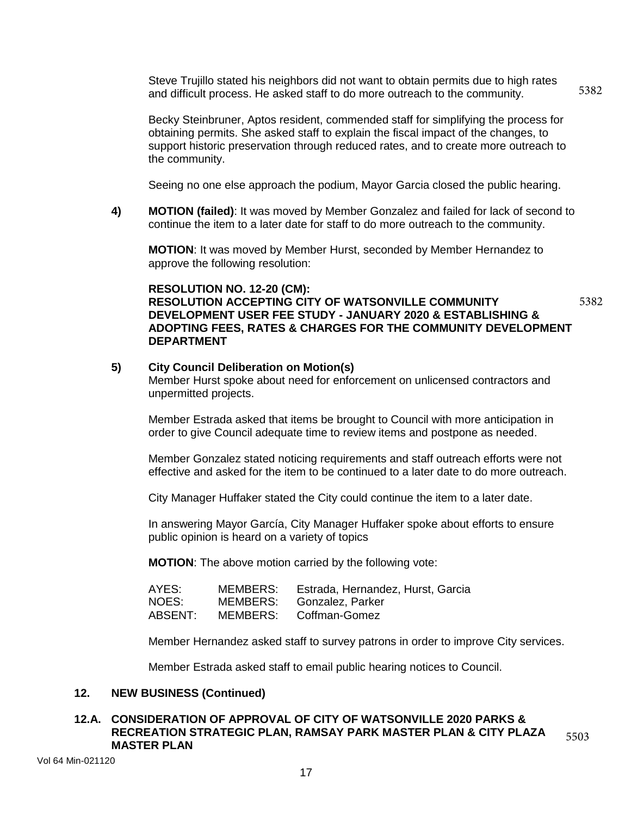Steve Trujillo stated his neighbors did not want to obtain permits due to high rates and difficult process. He asked staff to do more outreach to the community. 5382

Becky Steinbruner, Aptos resident, commended staff for simplifying the process for obtaining permits. She asked staff to explain the fiscal impact of the changes, to support historic preservation through reduced rates, and to create more outreach to the community.

Seeing no one else approach the podium, Mayor Garcia closed the public hearing.

**4) MOTION (failed)**: It was moved by Member Gonzalez and failed for lack of second to continue the item to a later date for staff to do more outreach to the community.

**MOTION**: It was moved by Member Hurst, seconded by Member Hernandez to approve the following resolution:

### **RESOLUTION NO. 12-20 (CM): RESOLUTION ACCEPTING CITY OF WATSONVILLE COMMUNITY DEVELOPMENT USER FEE STUDY - JANUARY 2020 & ESTABLISHING & ADOPTING FEES, RATES & CHARGES FOR THE COMMUNITY DEVELOPMENT**

5382

# **5) City Council Deliberation on Motion(s)**

**DEPARTMENT**

Member Hurst spoke about need for enforcement on unlicensed contractors and unpermitted projects.

Member Estrada asked that items be brought to Council with more anticipation in order to give Council adequate time to review items and postpone as needed.

Member Gonzalez stated noticing requirements and staff outreach efforts were not effective and asked for the item to be continued to a later date to do more outreach.

City Manager Huffaker stated the City could continue the item to a later date.

In answering Mayor García, City Manager Huffaker spoke about efforts to ensure public opinion is heard on a variety of topics

**MOTION**: The above motion carried by the following vote:

| AYES:   | MEMBERS: | Estrada, Hernandez, Hurst, Garcia |
|---------|----------|-----------------------------------|
| NOES:   |          | MEMBERS: Gonzalez, Parker         |
| ABSENT: |          | MEMBERS: Coffman-Gomez            |

Member Hernandez asked staff to survey patrons in order to improve City services.

Member Estrada asked staff to email public hearing notices to Council.

# **12. NEW BUSINESS (Continued)**

#### **12.A. CONSIDERATION OF APPROVAL OF CITY OF WATSONVILLE 2020 PARKS & RECREATION STRATEGIC PLAN, RAMSAY PARK MASTER PLAN & CITY PLAZA MASTER PLAN**  5503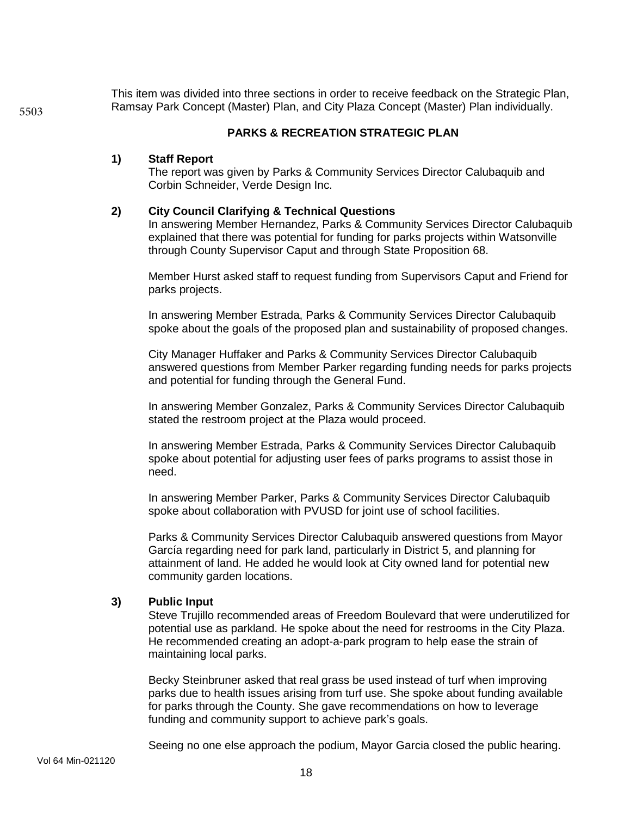This item was divided into three sections in order to receive feedback on the Strategic Plan, Ramsay Park Concept (Master) Plan, and City Plaza Concept (Master) Plan individually.

# **PARKS & RECREATION STRATEGIC PLAN**

# **1) Staff Report**

The report was given by Parks & Community Services Director Calubaquib and Corbin Schneider, Verde Design Inc.

### **2) City Council Clarifying & Technical Questions**

In answering Member Hernandez, Parks & Community Services Director Calubaquib explained that there was potential for funding for parks projects within Watsonville through County Supervisor Caput and through State Proposition 68.

Member Hurst asked staff to request funding from Supervisors Caput and Friend for parks projects.

In answering Member Estrada, Parks & Community Services Director Calubaquib spoke about the goals of the proposed plan and sustainability of proposed changes.

City Manager Huffaker and Parks & Community Services Director Calubaquib answered questions from Member Parker regarding funding needs for parks projects and potential for funding through the General Fund.

In answering Member Gonzalez, Parks & Community Services Director Calubaquib stated the restroom project at the Plaza would proceed.

In answering Member Estrada, Parks & Community Services Director Calubaquib spoke about potential for adjusting user fees of parks programs to assist those in need.

In answering Member Parker, Parks & Community Services Director Calubaquib spoke about collaboration with PVUSD for joint use of school facilities.

Parks & Community Services Director Calubaquib answered questions from Mayor García regarding need for park land, particularly in District 5, and planning for attainment of land. He added he would look at City owned land for potential new community garden locations.

# **3) Public Input**

Steve Trujillo recommended areas of Freedom Boulevard that were underutilized for potential use as parkland. He spoke about the need for restrooms in the City Plaza. He recommended creating an adopt-a-park program to help ease the strain of maintaining local parks.

Becky Steinbruner asked that real grass be used instead of turf when improving parks due to health issues arising from turf use. She spoke about funding available for parks through the County. She gave recommendations on how to leverage funding and community support to achieve park's goals.

Seeing no one else approach the podium, Mayor Garcia closed the public hearing.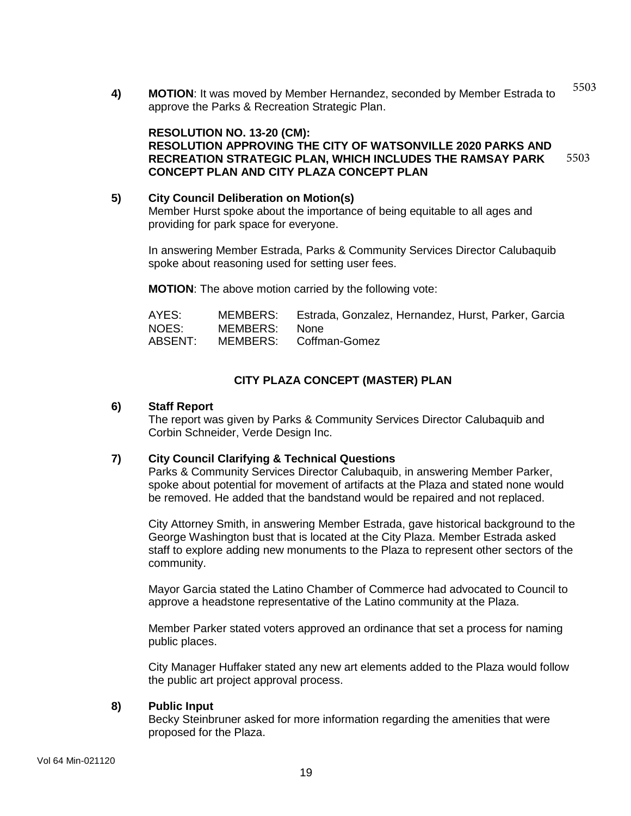**4) MOTION**: It was moved by Member Hernandez, seconded by Member Estrada to approve the Parks & Recreation Strategic Plan. 5503

#### **RESOLUTION NO. 13-20 (CM): RESOLUTION APPROVING THE CITY OF WATSONVILLE 2020 PARKS AND RECREATION STRATEGIC PLAN, WHICH INCLUDES THE RAMSAY PARK CONCEPT PLAN AND CITY PLAZA CONCEPT PLAN** 5503

# **5) City Council Deliberation on Motion(s)** Member Hurst spoke about the importance of being equitable to all ages and providing for park space for everyone.

In answering Member Estrada, Parks & Community Services Director Calubaquib spoke about reasoning used for setting user fees.

**MOTION**: The above motion carried by the following vote:

| AYES:   |               | MEMBERS: Estrada, Gonzalez, Hernandez, Hurst, Parker, Garcia |
|---------|---------------|--------------------------------------------------------------|
| NOES:   | MEMBERS: None |                                                              |
| ABSENT: |               | MEMBERS: Coffman-Gomez                                       |

# **CITY PLAZA CONCEPT (MASTER) PLAN**

### **6) Staff Report**

The report was given by Parks & Community Services Director Calubaquib and Corbin Schneider, Verde Design Inc.

# **7) City Council Clarifying & Technical Questions**

Parks & Community Services Director Calubaquib, in answering Member Parker, spoke about potential for movement of artifacts at the Plaza and stated none would be removed. He added that the bandstand would be repaired and not replaced.

City Attorney Smith, in answering Member Estrada, gave historical background to the George Washington bust that is located at the City Plaza. Member Estrada asked staff to explore adding new monuments to the Plaza to represent other sectors of the community.

Mayor Garcia stated the Latino Chamber of Commerce had advocated to Council to approve a headstone representative of the Latino community at the Plaza.

Member Parker stated voters approved an ordinance that set a process for naming public places.

City Manager Huffaker stated any new art elements added to the Plaza would follow the public art project approval process.

# **8) Public Input**

Becky Steinbruner asked for more information regarding the amenities that were proposed for the Plaza.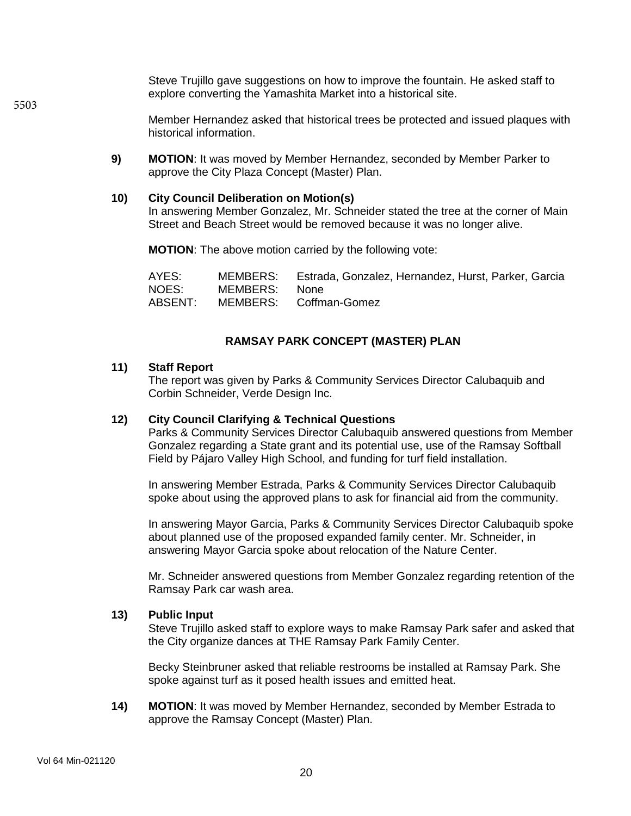Steve Trujillo gave suggestions on how to improve the fountain. He asked staff to explore converting the Yamashita Market into a historical site.

Member Hernandez asked that historical trees be protected and issued plaques with historical information.

**9) MOTION**: It was moved by Member Hernandez, seconded by Member Parker to approve the City Plaza Concept (Master) Plan.

#### **10) City Council Deliberation on Motion(s)**

In answering Member Gonzalez, Mr. Schneider stated the tree at the corner of Main Street and Beach Street would be removed because it was no longer alive.

**MOTION**: The above motion carried by the following vote:

| AYES:   |               | MEMBERS: Estrada, Gonzalez, Hernandez, Hurst, Parker, Garcia |
|---------|---------------|--------------------------------------------------------------|
| NOES:   | MEMBERS: None |                                                              |
| ABSENT: |               | MEMBERS: Coffman-Gomez                                       |

#### **RAMSAY PARK CONCEPT (MASTER) PLAN**

#### **11) Staff Report**

The report was given by Parks & Community Services Director Calubaquib and Corbin Schneider, Verde Design Inc.

### **12) City Council Clarifying & Technical Questions**

Parks & Community Services Director Calubaquib answered questions from Member Gonzalez regarding a State grant and its potential use, use of the Ramsay Softball Field by Pájaro Valley High School, and funding for turf field installation.

In answering Member Estrada, Parks & Community Services Director Calubaquib spoke about using the approved plans to ask for financial aid from the community.

In answering Mayor Garcia, Parks & Community Services Director Calubaquib spoke about planned use of the proposed expanded family center. Mr. Schneider, in answering Mayor Garcia spoke about relocation of the Nature Center.

Mr. Schneider answered questions from Member Gonzalez regarding retention of the Ramsay Park car wash area.

#### **13) Public Input**

Steve Trujillo asked staff to explore ways to make Ramsay Park safer and asked that the City organize dances at THE Ramsay Park Family Center.

Becky Steinbruner asked that reliable restrooms be installed at Ramsay Park. She spoke against turf as it posed health issues and emitted heat.

**14) MOTION**: It was moved by Member Hernandez, seconded by Member Estrada to approve the Ramsay Concept (Master) Plan.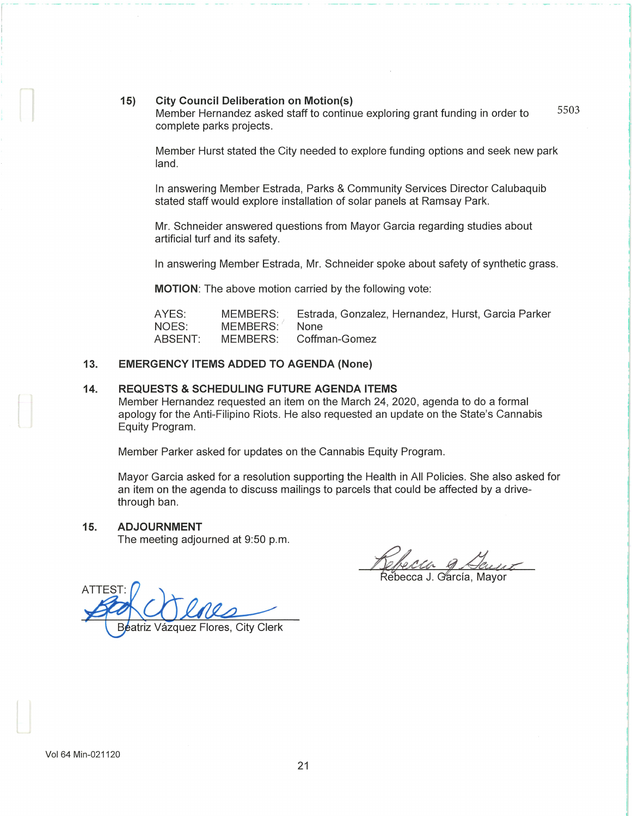#### **15) City Council Deliberation on Motion(s)**

Member Hernandez asked staff to continue exploring grant funding in order to complete parks projects.

Member Hurst stated the City needed to explore funding options and seek new park land.

In answering Member Estrada, Parks & Community Services Director Calubaquib stated staff would explore installation of solar panels at Ramsay Park.

Mr. Schneider answered questions from Mayor Garcia regarding studies about artificial turf and its safety.

In answering Member Estrada, Mr. Schneider spoke about safety of synthetic grass.

**MOTION:** The above motion carried by the following vote:

AYES: NOES: ABSENT: MEMBERS: MEMBERS: MEMBERS: Estrada, Gonzalez, Hernandez, Hurst, Garcia Parker None Coffman-Gomez

#### **13. EMERGENCY ITEMS ADDED TO AGENDA (None)**

#### **14. REQUESTS & SCHEDULING FUTURE AGENDA ITEMS**

Member Hernandez requested an item on the March 24, 2020, agenda to do a formal apology for the Anti-Filipino Riots. He also requested an update on the State's Cannabis Equity Program.

Member Parker asked for updates on the Cannabis Equity Program.

Mayor Garcia asked for a resolution supporting the Health in All Policies. She also asked for an item on the agenda to discuss mailings to parcels that could be affected by a drivethrough ban.

#### **15. ADJOURNMENT**

The meeting adjourned at 9:50 p.m.

*<u>Refecto 9 August</u>*<br>Rebecca J. García, Mayor

**ATTEST** Beatriz Vázquez Flores, City Clerk

- - - - - - -- -- -